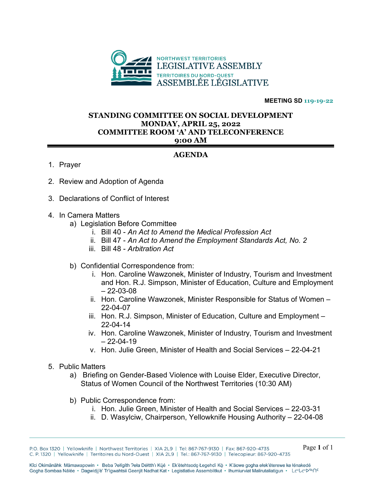

**MEETING SD 119-19-22** 

## **STANDING COMMITTEE ON SOCIAL DEVELOPMENT MONDAY, APRIL 25, 2022 COMMITTEE ROOM 'A' AND TELECONFERENCE 9:00 AM**

## **AGENDA**

- 1. Prayer
- 2. Review and Adoption of Agenda
- 3. Declarations of Conflict of Interest
- 4. In Camera Matters
	- a) Legislation Before Committee
		- i. Bill 40 *An Act to Amend the Medical Profession Act*
		- ii. Bill 47 *An Act to Amend the Employment Standards Act, No. 2*
		- iii. Bill 48 *Arbitration Act*
	- b) Confidential Correspondence from:
		- i. Hon. Caroline Wawzonek, Minister of Industry, Tourism and Investment and Hon. R.J. Simpson, Minister of Education, Culture and Employment  $-22 - 03 - 08$
		- ii. Hon. Caroline Wawzonek, Minister Responsible for Status of Women 22-04-07
		- iii. Hon. R.J. Simpson, Minister of Education, Culture and Employment 22-04-14
		- iv. Hon. Caroline Wawzonek, Minister of Industry, Tourism and Investment  $-22-04-19$
		- v. Hon. Julie Green, Minister of Health and Social Services 22-04-21
- 5. Public Matters
	- a) Briefing on Gender-Based Violence with Louise Elder, Executive Director, Status of Women Council of the Northwest Territories (10:30 AM)
	- b) Public Correspondence from:
		- i. Hon. Julie Green, Minister of Health and Social Services 22-03-31
		- ii. D. Wasylciw, Chairperson, Yellowknife Housing Authority 22-04-08